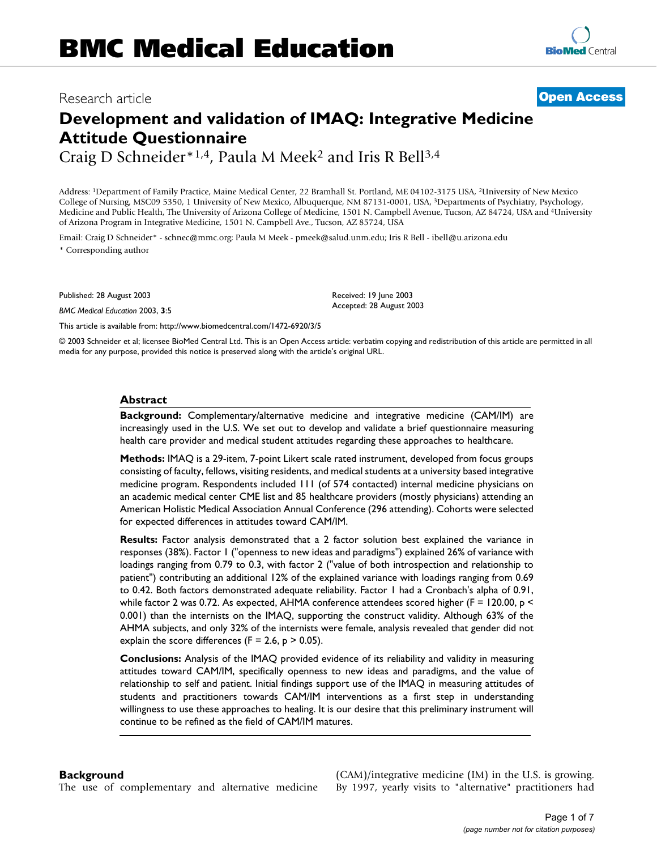# Research article **[Open Access](http://www.biomedcentral.com/info/about/charter/)**

# **Development and validation of IMAQ: Integrative Medicine Attitude Questionnaire**

Craig D Schneider\*1,4, Paula M Meek<sup>2</sup> and Iris R Bell<sup>3,4</sup>

Address: 1Department of Family Practice, Maine Medical Center, 22 Bramhall St. Portland, ME 04102-3175 USA, 2University of New Mexico College of Nursing, MSC09 5350, 1 University of New Mexico, Albuquerque, NM 87131-0001, USA, 3Departments of Psychiatry, Psychology, Medicine and Public Health, The University of Arizona College of Medicine, 1501 N. Campbell Avenue, Tucson, AZ 84724, USA and 4University of Arizona Program in Integrative Medicine, 1501 N. Campbell Ave., Tucson, AZ 85724, USA

Email: Craig D Schneider\* - schnec@mmc.org; Paula M Meek - pmeek@salud.unm.edu; Iris R Bell - ibell@u.arizona.edu \* Corresponding author

Published: 28 August 2003

*BMC Medical Education* 2003, **3**:5

[This article is available from: http://www.biomedcentral.com/1472-6920/3/5](http://www.biomedcentral.com/1472-6920/3/5)

© 2003 Schneider et al; licensee BioMed Central Ltd. This is an Open Access article: verbatim copying and redistribution of this article are permitted in all media for any purpose, provided this notice is preserved along with the article's original URL.

#### **Abstract**

**Background:** Complementary/alternative medicine and integrative medicine (CAM/IM) are increasingly used in the U.S. We set out to develop and validate a brief questionnaire measuring health care provider and medical student attitudes regarding these approaches to healthcare.

**Methods:** IMAQ is a 29-item, 7-point Likert scale rated instrument, developed from focus groups consisting of faculty, fellows, visiting residents, and medical students at a university based integrative medicine program. Respondents included 111 (of 574 contacted) internal medicine physicians on an academic medical center CME list and 85 healthcare providers (mostly physicians) attending an American Holistic Medical Association Annual Conference (296 attending). Cohorts were selected for expected differences in attitudes toward CAM/IM.

**Results:** Factor analysis demonstrated that a 2 factor solution best explained the variance in responses (38%). Factor 1 ("openness to new ideas and paradigms") explained 26% of variance with loadings ranging from 0.79 to 0.3, with factor 2 ("value of both introspection and relationship to patient") contributing an additional 12% of the explained variance with loadings ranging from 0.69 to 0.42. Both factors demonstrated adequate reliability. Factor 1 had a Cronbach's alpha of 0.91, while factor 2 was 0.72. As expected, AHMA conference attendees scored higher (F = 120.00, p < 0.001) than the internists on the IMAQ, supporting the construct validity. Although 63% of the AHMA subjects, and only 32% of the internists were female, analysis revealed that gender did not explain the score differences ( $F = 2.6$ ,  $p > 0.05$ ).

**Conclusions:** Analysis of the IMAQ provided evidence of its reliability and validity in measuring attitudes toward CAM/IM, specifically openness to new ideas and paradigms, and the value of relationship to self and patient. Initial findings support use of the IMAQ in measuring attitudes of students and practitioners towards CAM/IM interventions as a first step in understanding willingness to use these approaches to healing. It is our desire that this preliminary instrument will continue to be refined as the field of CAM/IM matures.

### **Background**

The use of complementary and alternative medicine

(CAM)/integrative medicine (IM) in the U.S. is growing. By 1997, yearly visits to "alternative" practitioners had

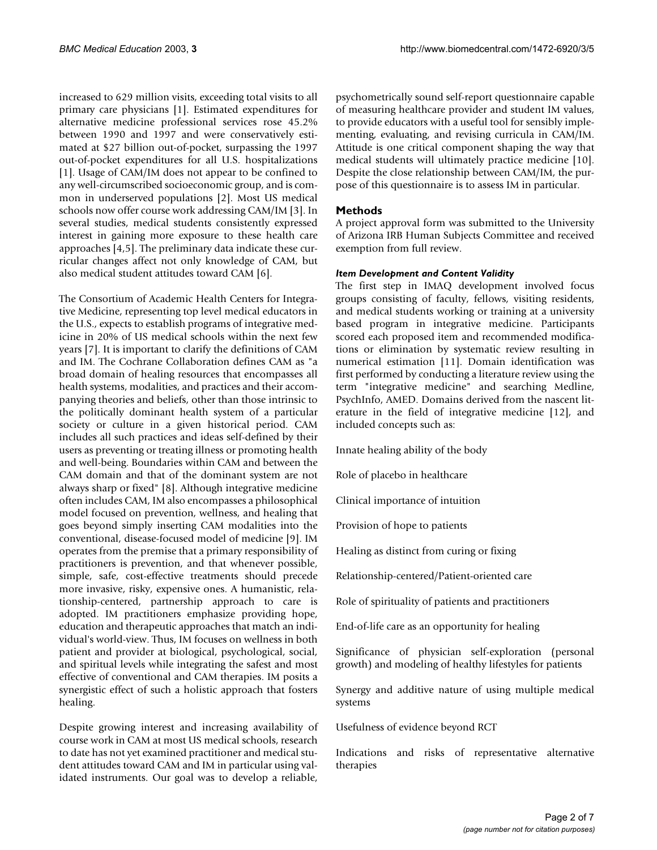increased to 629 million visits, exceeding total visits to all primary care physicians [1]. Estimated expenditures for alternative medicine professional services rose 45.2% between 1990 and 1997 and were conservatively estimated at \$27 billion out-of-pocket, surpassing the 1997 out-of-pocket expenditures for all U.S. hospitalizations [1]. Usage of CAM/IM does not appear to be confined to any well-circumscribed socioeconomic group, and is common in underserved populations [2]. Most US medical schools now offer course work addressing CAM/IM [3]. In several studies, medical students consistently expressed interest in gaining more exposure to these health care approaches [4,5]. The preliminary data indicate these curricular changes affect not only knowledge of CAM, but also medical student attitudes toward CAM [6].

The Consortium of Academic Health Centers for Integrative Medicine, representing top level medical educators in the U.S., expects to establish programs of integrative medicine in 20% of US medical schools within the next few years [7]. It is important to clarify the definitions of CAM and IM. The Cochrane Collaboration defines CAM as "a broad domain of healing resources that encompasses all health systems, modalities, and practices and their accompanying theories and beliefs, other than those intrinsic to the politically dominant health system of a particular society or culture in a given historical period. CAM includes all such practices and ideas self-defined by their users as preventing or treating illness or promoting health and well-being. Boundaries within CAM and between the CAM domain and that of the dominant system are not always sharp or fixed" [8]. Although integrative medicine often includes CAM, IM also encompasses a philosophical model focused on prevention, wellness, and healing that goes beyond simply inserting CAM modalities into the conventional, disease-focused model of medicine [9]. IM operates from the premise that a primary responsibility of practitioners is prevention, and that whenever possible, simple, safe, cost-effective treatments should precede more invasive, risky, expensive ones. A humanistic, relationship-centered, partnership approach to care is adopted. IM practitioners emphasize providing hope, education and therapeutic approaches that match an individual's world-view. Thus, IM focuses on wellness in both patient and provider at biological, psychological, social, and spiritual levels while integrating the safest and most effective of conventional and CAM therapies. IM posits a synergistic effect of such a holistic approach that fosters healing.

Despite growing interest and increasing availability of course work in CAM at most US medical schools, research to date has not yet examined practitioner and medical student attitudes toward CAM and IM in particular using validated instruments. Our goal was to develop a reliable,

psychometrically sound self-report questionnaire capable of measuring healthcare provider and student IM values, to provide educators with a useful tool for sensibly implementing, evaluating, and revising curricula in CAM/IM. Attitude is one critical component shaping the way that medical students will ultimately practice medicine [10]. Despite the close relationship between CAM/IM, the purpose of this questionnaire is to assess IM in particular.

# **Methods**

A project approval form was submitted to the University of Arizona IRB Human Subjects Committee and received exemption from full review.

# *Item Development and Content Validity*

The first step in IMAQ development involved focus groups consisting of faculty, fellows, visiting residents, and medical students working or training at a university based program in integrative medicine. Participants scored each proposed item and recommended modifications or elimination by systematic review resulting in numerical estimation [11]. Domain identification was first performed by conducting a literature review using the term "integrative medicine" and searching Medline, PsychInfo, AMED. Domains derived from the nascent literature in the field of integrative medicine [12], and included concepts such as:

Innate healing ability of the body

Role of placebo in healthcare

Clinical importance of intuition

Provision of hope to patients

Healing as distinct from curing or fixing

Relationship-centered/Patient-oriented care

Role of spirituality of patients and practitioners

End-of-life care as an opportunity for healing

Significance of physician self-exploration (personal growth) and modeling of healthy lifestyles for patients

Synergy and additive nature of using multiple medical systems

Usefulness of evidence beyond RCT

Indications and risks of representative alternative therapies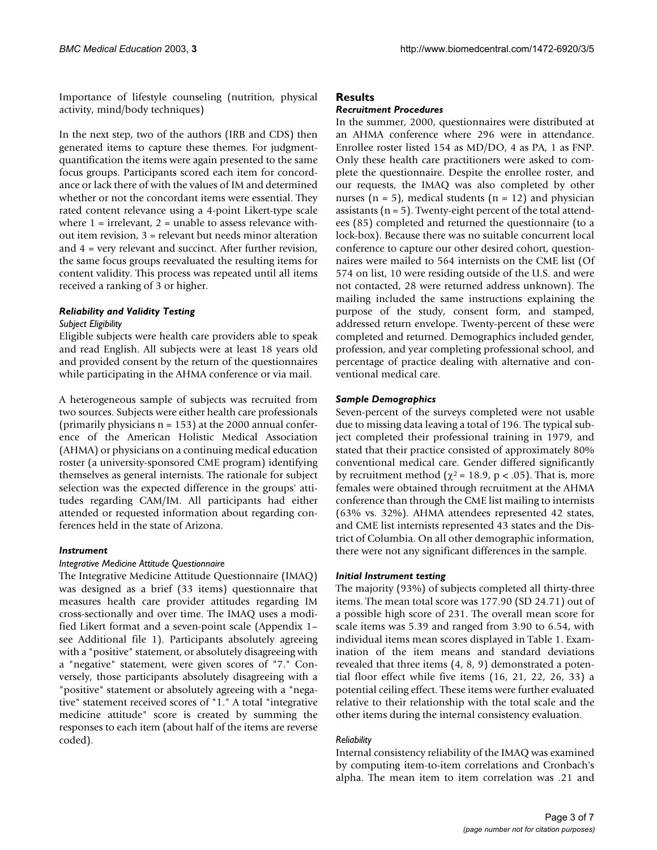Importance of lifestyle counseling (nutrition, physical activity, mind/body techniques)

In the next step, two of the authors (IRB and CDS) then generated items to capture these themes. For judgmentquantification the items were again presented to the same focus groups. Participants scored each item for concordance or lack there of with the values of IM and determined whether or not the concordant items were essential. They rated content relevance using a 4-point Likert-type scale where  $1 =$  irrelevant,  $2 =$  unable to assess relevance without item revision, 3 = relevant but needs minor alteration and 4 = very relevant and succinct. After further revision, the same focus groups reevaluated the resulting items for content validity. This process was repeated until all items received a ranking of 3 or higher.

# *Reliability and Validity Testing*

#### *Subject Eligibility*

Eligible subjects were health care providers able to speak and read English. All subjects were at least 18 years old and provided consent by the return of the questionnaires while participating in the AHMA conference or via mail.

A heterogeneous sample of subjects was recruited from two sources. Subjects were either health care professionals (primarily physicians n = 153) at the 2000 annual conference of the American Holistic Medical Association (AHMA) or physicians on a continuing medical education roster (a university-sponsored CME program) identifying themselves as general internists. The rationale for subject selection was the expected difference in the groups' attitudes regarding CAM/IM. All participants had either attended or requested information about regarding conferences held in the state of Arizona.

### *Instrument*

### *Integrative Medicine Attitude Questionnaire*

The Integrative Medicine Attitude Questionnaire (IMAQ) was designed as a brief (33 items) questionnaire that measures health care provider attitudes regarding IM cross-sectionally and over time. The IMAQ uses a modified Likert format and a seven-point scale (Appendix 1– see Additional file 1). Participants absolutely agreeing with a "positive" statement, or absolutely disagreeing with a "negative" statement, were given scores of "7." Conversely, those participants absolutely disagreeing with a "positive" statement or absolutely agreeing with a "negative" statement received scores of "1." A total "integrative medicine attitude" score is created by summing the responses to each item (about half of the items are reverse coded).

# **Results**

#### *Recruitment Procedures*

In the summer, 2000, questionnaires were distributed at an AHMA conference where 296 were in attendance. Enrollee roster listed 154 as MD/DO, 4 as PA, 1 as FNP. Only these health care practitioners were asked to complete the questionnaire. Despite the enrollee roster, and our requests, the IMAQ was also completed by other nurses  $(n = 5)$ , medical students  $(n = 12)$  and physician assistants ( $n = 5$ ). Twenty-eight percent of the total attendees (85) completed and returned the questionnaire (to a lock-box). Because there was no suitable concurrent local conference to capture our other desired cohort, questionnaires were mailed to 564 internists on the CME list (Of 574 on list, 10 were residing outside of the U.S. and were not contacted, 28 were returned address unknown). The mailing included the same instructions explaining the purpose of the study, consent form, and stamped, addressed return envelope. Twenty-percent of these were completed and returned. Demographics included gender, profession, and year completing professional school, and percentage of practice dealing with alternative and conventional medical care.

### *Sample Demographics*

Seven-percent of the surveys completed were not usable due to missing data leaving a total of 196. The typical subject completed their professional training in 1979, and stated that their practice consisted of approximately 80% conventional medical care. Gender differed significantly by recruitment method ( $\chi^2$  = 18.9, p < .05). That is, more females were obtained through recruitment at the AHMA conference than through the CME list mailing to internists (63% vs. 32%). AHMA attendees represented 42 states, and CME list internists represented 43 states and the District of Columbia. On all other demographic information, there were not any significant differences in the sample.

### *Initial Instrument testing*

The majority (93%) of subjects completed all thirty-three items. The mean total score was 177.90 (SD 24.71) out of a possible high score of 231. The overall mean score for scale items was 5.39 and ranged from 3.90 to 6.54, with individual items mean scores displayed in Table [1.](#page-3-0) Examination of the item means and standard deviations revealed that three items (4, 8, 9) demonstrated a potential floor effect while five items (16, 21, 22, 26, 33) a potential ceiling effect. These items were further evaluated relative to their relationship with the total scale and the other items during the internal consistency evaluation.

### *Reliability*

Internal consistency reliability of the IMAQ was examined by computing item-to-item correlations and Cronbach's alpha. The mean item to item correlation was .21 and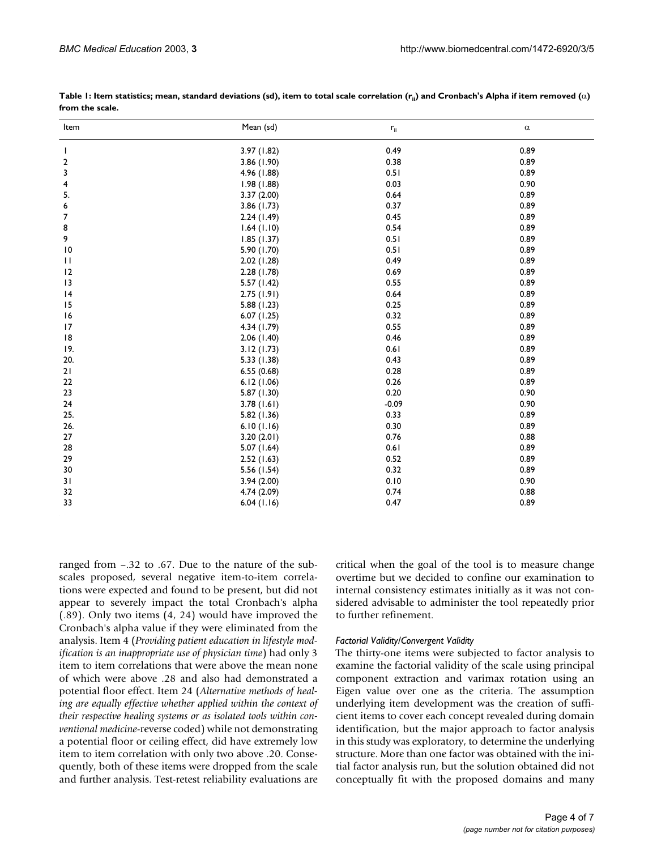| Item                     | Mean (sd)   | $r_{ii}$ | $\alpha$ |
|--------------------------|-------------|----------|----------|
| $\overline{\phantom{a}}$ | 3.97 (1.82) | 0.49     | 0.89     |
| $\overline{\mathbf{c}}$  | 3.86 (1.90) | 0.38     | 0.89     |
| 3                        | 4.96 (1.88) | 0.51     | 0.89     |
| 4                        | 1.98(1.88)  | 0.03     | 0.90     |
| 5.                       | 3.37(2.00)  | 0.64     | 0.89     |
| 6                        | 3.86 (1.73) | 0.37     | 0.89     |
| 7                        | 2.24(1.49)  | 0.45     | 0.89     |
| 8                        | 1.64(1.10)  | 0.54     | 0.89     |
| 9                        | 1.85(1.37)  | 0.51     | 0.89     |
| $\overline{10}$          | 5.90 (1.70) | 0.51     | 0.89     |
| $\mathbf{H}$             | 2.02(1.28)  | 0.49     | 0.89     |
| 12                       | 2.28 (1.78) | 0.69     | 0.89     |
| 13                       | 5.57(1.42)  | 0.55     | 0.89     |
| 4                        | 2.75(1.91)  | 0.64     | 0.89     |
| 15                       | 5.88 (1.23) | 0.25     | 0.89     |
| 16                       | 6.07(1.25)  | 0.32     | 0.89     |
| 17                       | 4.34 (1.79) | 0.55     | 0.89     |
| 18                       | 2.06(1.40)  | 0.46     | 0.89     |
| 19.                      | 3.12(1.73)  | 0.61     | 0.89     |
| 20.                      | 5.33 (1.38) | 0.43     | 0.89     |
| 21                       | 6.55(0.68)  | 0.28     | 0.89     |
| 22                       | 6.12(1.06)  | 0.26     | 0.89     |
| 23                       | 5.87 (1.30) | 0.20     | 0.90     |
| 24                       | 3.78(1.61)  | $-0.09$  | 0.90     |
| 25.                      | 5.82 (1.36) | 0.33     | 0.89     |
| 26.                      | 6.10(1.16)  | 0.30     | 0.89     |
| 27                       | 3.20(2.01)  | 0.76     | 0.88     |
| 28                       | 5.07(1.64)  | 0.61     | 0.89     |
| 29                       | 2.52(1.63)  | 0.52     | 0.89     |
| 30                       | 5.56 (1.54) | 0.32     | 0.89     |
| 31                       | 3.94(2.00)  | 0.10     | 0.90     |
| 32                       | 4.74 (2.09) | 0.74     | 0.88     |
| 33                       | 6.04(1.16)  | 0.47     | 0.89     |

<span id="page-3-0"></span>

| Table 1: Item statistics; mean, standard deviations (sd), item to total scale correlation ( $r_{\rm ii}$ ) and Cronbach's Alpha if item removed ( $\alpha$ ) |  |
|--------------------------------------------------------------------------------------------------------------------------------------------------------------|--|
| from the scale.                                                                                                                                              |  |

ranged from –.32 to .67. Due to the nature of the subscales proposed, several negative item-to-item correlations were expected and found to be present, but did not appear to severely impact the total Cronbach's alpha (.89). Only two items (4, 24) would have improved the Cronbach's alpha value if they were eliminated from the analysis. Item 4 (*Providing patient education in lifestyle modification is an inappropriate use of physician time*) had only 3 item to item correlations that were above the mean none of which were above .28 and also had demonstrated a potential floor effect. Item 24 (*Alternative methods of healing are equally effective whether applied within the context of their respective healing systems or as isolated tools within conventional medicine*-reverse coded) while not demonstrating a potential floor or ceiling effect, did have extremely low item to item correlation with only two above .20. Consequently, both of these items were dropped from the scale and further analysis. Test-retest reliability evaluations are critical when the goal of the tool is to measure change overtime but we decided to confine our examination to internal consistency estimates initially as it was not considered advisable to administer the tool repeatedly prior to further refinement.

#### *Factorial Validity/Convergent Validity*

The thirty-one items were subjected to factor analysis to examine the factorial validity of the scale using principal component extraction and varimax rotation using an Eigen value over one as the criteria. The assumption underlying item development was the creation of sufficient items to cover each concept revealed during domain identification, but the major approach to factor analysis in this study was exploratory, to determine the underlying structure. More than one factor was obtained with the initial factor analysis run, but the solution obtained did not conceptually fit with the proposed domains and many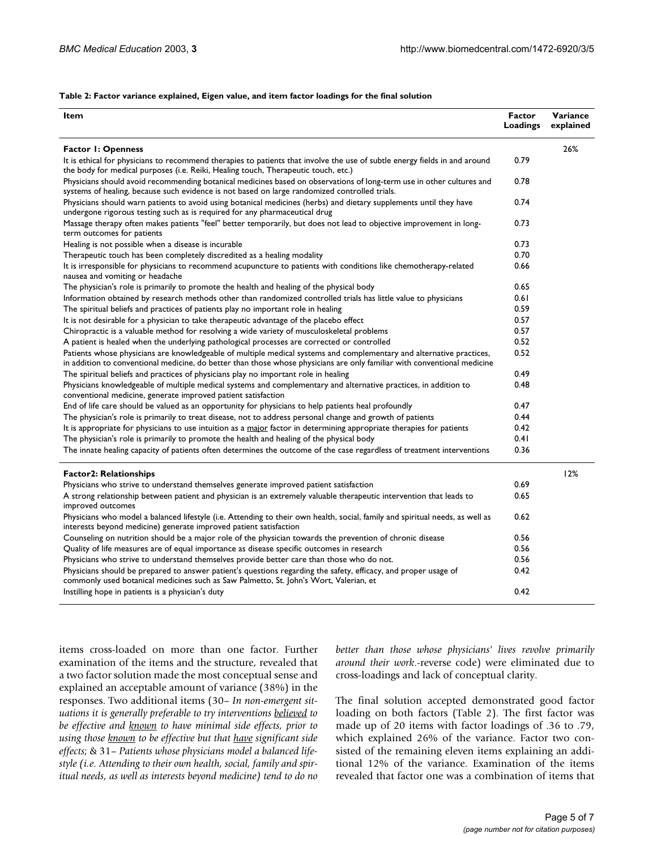#### <span id="page-4-0"></span>**Table 2: Factor variance explained, Eigen value, and item factor loadings for the final solution**

| Item                                                                                                                                                                                                                                             | <b>Factor</b><br>Loadings | Variance<br>explained |
|--------------------------------------------------------------------------------------------------------------------------------------------------------------------------------------------------------------------------------------------------|---------------------------|-----------------------|
| <b>Factor 1: Openness</b>                                                                                                                                                                                                                        |                           | 26%                   |
| It is ethical for physicians to recommend therapies to patients that involve the use of subtle energy fields in and around<br>the body for medical purposes (i.e. Reiki, Healing touch, Therapeutic touch, etc.)                                 | 0.79                      |                       |
| Physicians should avoid recommending botanical medicines based on observations of long-term use in other cultures and<br>systems of healing, because such evidence is not based on large randomized controlled trials.                           | 0.78                      |                       |
| Physicians should warn patients to avoid using botanical medicines (herbs) and dietary supplements until they have<br>undergone rigorous testing such as is required for any pharmaceutical drug                                                 | 0.74                      |                       |
| Massage therapy often makes patients "feel" better temporarily, but does not lead to objective improvement in long-<br>term outcomes for patients                                                                                                | 0.73                      |                       |
| Healing is not possible when a disease is incurable                                                                                                                                                                                              | 0.73                      |                       |
| Therapeutic touch has been completely discredited as a healing modality                                                                                                                                                                          | 0.70                      |                       |
| It is irresponsible for physicians to recommend acupuncture to patients with conditions like chemotherapy-related<br>nausea and vomiting or headache                                                                                             | 0.66                      |                       |
| The physician's role is primarily to promote the health and healing of the physical body                                                                                                                                                         | 0.65                      |                       |
| Information obtained by research methods other than randomized controlled trials has little value to physicians                                                                                                                                  | 0.61                      |                       |
| The spiritual beliefs and practices of patients play no important role in healing                                                                                                                                                                | 0.59                      |                       |
| It is not desirable for a physician to take therapeutic advantage of the placebo effect                                                                                                                                                          | 0.57                      |                       |
| Chiropractic is a valuable method for resolving a wide variety of musculoskeletal problems                                                                                                                                                       | 0.57                      |                       |
| A patient is healed when the underlying pathological processes are corrected or controlled                                                                                                                                                       | 0.52                      |                       |
| Patients whose physicians are knowledgeable of multiple medical systems and complementary and alternative practices,<br>in addition to conventional medicine, do better than those whose physicians are only familiar with conventional medicine | 0.52                      |                       |
| The spiritual beliefs and practices of physicians play no important role in healing                                                                                                                                                              | 0.49                      |                       |
| Physicians knowledgeable of multiple medical systems and complementary and alternative practices, in addition to<br>conventional medicine, generate improved patient satisfaction                                                                | 0.48                      |                       |
| End of life care should be valued as an opportunity for physicians to help patients heal profoundly                                                                                                                                              | 0.47                      |                       |
| The physician's role is primarily to treat disease, not to address personal change and growth of patients                                                                                                                                        | 0.44                      |                       |
| It is appropriate for physicians to use intuition as a major factor in determining appropriate therapies for patients                                                                                                                            | 0.42                      |                       |
| The physician's role is primarily to promote the health and healing of the physical body                                                                                                                                                         | 0.41                      |                       |
| The innate healing capacity of patients often determines the outcome of the case regardless of treatment interventions                                                                                                                           | 0.36                      |                       |
| <b>Factor2: Relationships</b>                                                                                                                                                                                                                    |                           | 12%                   |
| Physicians who strive to understand themselves generate improved patient satisfaction                                                                                                                                                            | 0.69                      |                       |
| A strong relationship between patient and physician is an extremely valuable therapeutic intervention that leads to<br>improved outcomes                                                                                                         | 0.65                      |                       |
| Physicians who model a balanced lifestyle (i.e. Attending to their own health, social, family and spiritual needs, as well as<br>interests beyond medicine) generate improved patient satisfaction                                               | 0.62<br>0.56              |                       |
| Counseling on nutrition should be a major role of the physician towards the prevention of chronic disease                                                                                                                                        |                           |                       |
| Quality of life measures are of equal importance as disease specific outcomes in research                                                                                                                                                        |                           |                       |
| Physicians who strive to understand themselves provide better care than those who do not.                                                                                                                                                        |                           |                       |
| Physicians should be prepared to answer patient's questions regarding the safety, efficacy, and proper usage of<br>commonly used botanical medicines such as Saw Palmetto, St. John's Wort, Valerian, et                                         | 0.42                      |                       |
| Instilling hope in patients is a physician's duty                                                                                                                                                                                                | 0.42                      |                       |

items cross-loaded on more than one factor. Further examination of the items and the structure, revealed that a two factor solution made the most conceptual sense and explained an acceptable amount of variance (38%) in the responses. Two additional items (30– *In non-emergent situations it is generally preferable to try interventions believed to be effective and known to have minimal side effects, prior to using those known to be effective but that have significant side effects*; & 31– *Patients whose physicians model a balanced lifestyle (i.e. Attending to their own health, social, family and spiritual needs, as well as interests beyond medicine) tend to do no* *better than those whose physicians' lives revolve primarily around their work*.-reverse code) were eliminated due to cross-loadings and lack of conceptual clarity.

The final solution accepted demonstrated good factor loading on both factors (Table [2\)](#page-4-0). The first factor was made up of 20 items with factor loadings of .36 to .79, which explained 26% of the variance. Factor two consisted of the remaining eleven items explaining an additional 12% of the variance. Examination of the items revealed that factor one was a combination of items that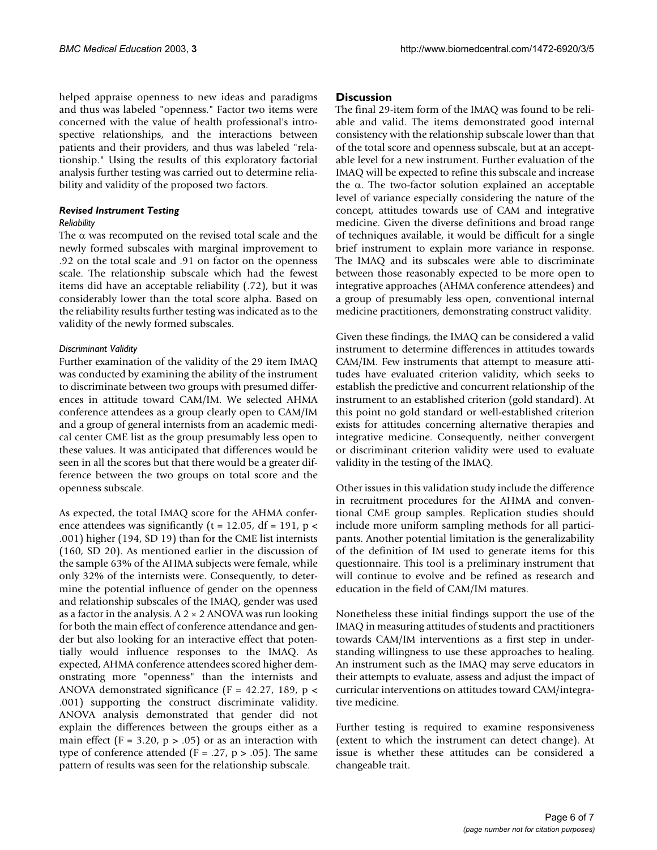helped appraise openness to new ideas and paradigms and thus was labeled "openness." Factor two items were concerned with the value of health professional's introspective relationships, and the interactions between patients and their providers, and thus was labeled "relationship." Using the results of this exploratory factorial analysis further testing was carried out to determine reliability and validity of the proposed two factors.

# *Revised Instrument Testing*

### *Reliability*

The  $\alpha$  was recomputed on the revised total scale and the newly formed subscales with marginal improvement to .92 on the total scale and .91 on factor on the openness scale. The relationship subscale which had the fewest items did have an acceptable reliability (.72), but it was considerably lower than the total score alpha. Based on the reliability results further testing was indicated as to the validity of the newly formed subscales.

# *Discriminant Validity*

Further examination of the validity of the 29 item IMAQ was conducted by examining the ability of the instrument to discriminate between two groups with presumed differences in attitude toward CAM/IM. We selected AHMA conference attendees as a group clearly open to CAM/IM and a group of general internists from an academic medical center CME list as the group presumably less open to these values. It was anticipated that differences would be seen in all the scores but that there would be a greater difference between the two groups on total score and the openness subscale.

As expected, the total IMAQ score for the AHMA conference attendees was significantly ( $t = 12.05$ , df = 191,  $p <$ .001) higher (194, SD 19) than for the CME list internists (160, SD 20). As mentioned earlier in the discussion of the sample 63% of the AHMA subjects were female, while only 32% of the internists were. Consequently, to determine the potential influence of gender on the openness and relationship subscales of the IMAQ, gender was used as a factor in the analysis. A  $2 \times 2$  ANOVA was run looking for both the main effect of conference attendance and gender but also looking for an interactive effect that potentially would influence responses to the IMAQ. As expected, AHMA conference attendees scored higher demonstrating more "openness" than the internists and ANOVA demonstrated significance (F = 42.27, 189, p < .001) supporting the construct discriminate validity. ANOVA analysis demonstrated that gender did not explain the differences between the groups either as a main effect (F = 3.20,  $p > .05$ ) or as an interaction with type of conference attended ( $F = .27$ ,  $p > .05$ ). The same pattern of results was seen for the relationship subscale.

# **Discussion**

The final 29-item form of the IMAQ was found to be reliable and valid. The items demonstrated good internal consistency with the relationship subscale lower than that of the total score and openness subscale, but at an acceptable level for a new instrument. Further evaluation of the IMAQ will be expected to refine this subscale and increase the α. The two-factor solution explained an acceptable level of variance especially considering the nature of the concept, attitudes towards use of CAM and integrative medicine. Given the diverse definitions and broad range of techniques available, it would be difficult for a single brief instrument to explain more variance in response. The IMAQ and its subscales were able to discriminate between those reasonably expected to be more open to integrative approaches (AHMA conference attendees) and a group of presumably less open, conventional internal medicine practitioners, demonstrating construct validity.

Given these findings, the IMAQ can be considered a valid instrument to determine differences in attitudes towards CAM/IM. Few instruments that attempt to measure attitudes have evaluated criterion validity, which seeks to establish the predictive and concurrent relationship of the instrument to an established criterion (gold standard). At this point no gold standard or well-established criterion exists for attitudes concerning alternative therapies and integrative medicine. Consequently, neither convergent or discriminant criterion validity were used to evaluate validity in the testing of the IMAQ.

Other issues in this validation study include the difference in recruitment procedures for the AHMA and conventional CME group samples. Replication studies should include more uniform sampling methods for all participants. Another potential limitation is the generalizability of the definition of IM used to generate items for this questionnaire. This tool is a preliminary instrument that will continue to evolve and be refined as research and education in the field of CAM/IM matures.

Nonetheless these initial findings support the use of the IMAQ in measuring attitudes of students and practitioners towards CAM/IM interventions as a first step in understanding willingness to use these approaches to healing. An instrument such as the IMAQ may serve educators in their attempts to evaluate, assess and adjust the impact of curricular interventions on attitudes toward CAM/integrative medicine.

Further testing is required to examine responsiveness (extent to which the instrument can detect change). At issue is whether these attitudes can be considered a changeable trait.